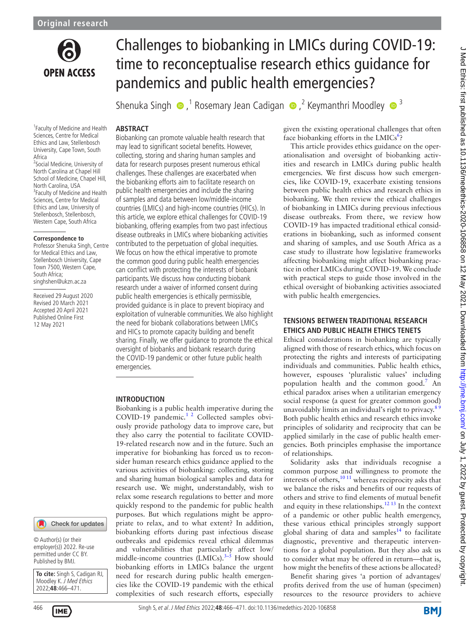

# Challenges to biobanking in LMICs during COVID-19: time to reconceptualise research ethics guidance for pandemics and public health emergencies?

ShenukaSingh  $\bigcirc$ ,<sup>1</sup> Rosemary Jean Cadigan  $\bigcirc$ ,<sup>2</sup> Keymanthri Moodley  $\bigcirc$ <sup>3</sup>

# **ABSTRACT**

1 Faculty of Medicine and Health Sciences, Centre for Medical Ethics and Law, Stellenbosch University, Cape Town, South Africa 2 Social Medicine, University of

North Carolina at Chapel Hill School of Medicine, Chapel Hill, North Carolina, USA <sup>3</sup> Faculty of Medicine and Health Sciences, Centre for Medical Ethics and Law, University of Stellenbosch, Stellenbosch, Western Cape, South Africa

#### **Correspondence to**

Professor Shenuka Singh, Centre for Medical Ethics and Law, Stellenbosch University, Cape Town 7500, Western Cape, South Africa; singhshen@ukzn.ac.za

Received 29 August 2020 Revised 20 March 2021 Accepted 20 April 2021 Published Online First 12 May 2021

Biobanking can promote valuable health research that may lead to significant societal benefits. However, collecting, storing and sharing human samples and data for research purposes present numerous ethical challenges. These challenges are exacerbated when the biobanking efforts aim to facilitate research on public health emergencies and include the sharing of samples and data between low/middle-income countries (LMICs) and high-income countries (HICs). In this article, we explore ethical challenges for COVID-19 biobanking, offering examples from two past infectious disease outbreaks in LMICs where biobanking activities contributed to the perpetuation of global inequities. We focus on how the ethical imperative to promote the common good during public health emergencies can conflict with protecting the interests of biobank participants. We discuss how conducting biobank research under a waiver of informed consent during public health emergencies is ethically permissible, provided guidance is in place to prevent biopiracy and exploitation of vulnerable communities. We also highlight the need for biobank collaborations between LMICs and HICs to promote capacity building and benefit sharing. Finally, we offer guidance to promote the ethical oversight of biobanks and biobank research during the COVID-19 pandemic or other future public health emergencies.

#### **INTRODUCTION**

Biobanking is a public health imperative during the COVID-19 pandemic[.1 2](#page-4-0) Collected samples obviously provide pathology data to improve care, but they also carry the potential to facilitate COVID-19-related research now and in the future. Such an imperative for biobanking has forced us to reconsider human research ethics guidance applied to the various activities of biobanking: collecting, storing and sharing human biological samples and data for research use. We might, understandably, wish to relax some research regulations to better and more quickly respond to the pandemic for public health purposes. But which regulations might be appropriate to relax, and to what extent? In addition, biobanking efforts during past infectious disease outbreaks and epidemics reveal ethical dilemmas and vulnerabilities that particularly affect low/ middle-income countries  $(LMICs).$ <sup>3–5</sup> How should biobanking efforts in LMICs balance the urgent need for research during public health emergencies like the COVID-19 pandemic with the ethical complexities of such research efforts, especially

given the existing operational challenges that often face biobanking efforts in the LMICs<sup>[6](#page-4-2)</sup>?

This article provides ethics guidance on the operationalisation and oversight of biobanking activities and research in LMICs during public health emergencies. We first discuss how such emergencies, like COVID-19, exacerbate existing tensions between public health ethics and research ethics in biobanking. We then review the ethical challenges of biobanking in LMICs during previous infectious disease outbreaks. From there, we review how COVID-19 has impacted traditional ethical considerations in biobanking, such as informed consent and sharing of samples, and use South Africa as a case study to illustrate how legislative frameworks affecting biobanking might affect biobanking practice in other LMICs during COVID-19. We conclude with practical steps to guide those involved in the ethical oversight of biobanking activities associated with public health emergencies.

# **TENSIONS BETWEEN TRADITIONAL RESEARCH ETHICS AND PUBLIC HEALTH ETHICS TENETS**

Ethical considerations in biobanking are typically aligned with those of research ethics, which focus on protecting the rights and interests of participating individuals and communities. Public health ethics, however, espouses 'pluralistic values' including population health and the common good.<sup>[7](#page-4-3)</sup> An ethical paradox arises when a utilitarian emergency social response (a quest for greater common good) unavoidably limits an individual's right to privacy.<sup>8</sup> Both public health ethics and research ethics invoke principles of solidarity and reciprocity that can be applied similarly in the case of public health emergencies. Both principles emphasise the importance of relationships.

Solidarity asks that individuals recognise a common purpose and willingness to promote the interests of others, $10^{11}$  whereas reciprocity asks that we balance the risks and benefits of our requests of others and strive to find elements of mutual benefit and equity in these relationships. $12 13$  In the context of a pandemic or other public health emergency, these various ethical principles strongly support global sharing of data and samples<sup>14</sup> to facilitate diagnostic, preventive and therapeutic interventions for a global population. But they also ask us to consider what may be offered in return—that is, how might the benefits of these actions be allocated?

Benefit sharing gives 'a portion of advantages/ profits derived from the use of human (specimen) resources to the resource providers to achieve

© Author(s) (or their

**To cite:** Singh S, Cadigan RJ, Moodley K. J Med Ethics 2022;**48**:466–471.

Check for updates

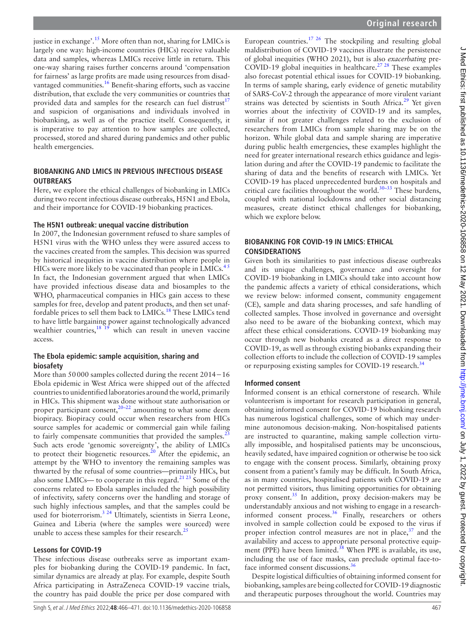justice in exchange'.<sup>15</sup> More often than not, sharing for LMICs is largely one way: high-income countries (HICs) receive valuable data and samples, whereas LMICs receive little in return. This one-way sharing raises further concerns around 'compensation for fairness' as large profits are made using resources from disad-vantaged communities.<sup>[16](#page-4-9)</sup> Benefit-sharing efforts, such as vaccine distribution, that exclude the very communities or countries that provided data and samples for the research can fuel distrust<sup>[17](#page-4-10)</sup> and suspicion of organisations and individuals involved in biobanking, as well as of the practice itself. Consequently, it is imperative to pay attention to how samples are collected, processed, stored and shared during pandemics and other public health emergencies.

## **BIOBANKING AND LMICS IN PREVIOUS INFECTIOUS DISEASE OUTBREAKS**

Here, we explore the ethical challenges of biobanking in LMICs during two recent infectious disease outbreaks, H5N1 and Ebola, and their importance for COVID-19 biobanking practices.

#### **The H5N1 outbreak: unequal vaccine distribution**

In 2007, the Indonesian government refused to share samples of H5N1 virus with the WHO unless they were assured access to the vaccines created from the samples. This decision was spurred by historical inequities in vaccine distribution where people in HICs were more likely to be vaccinated than people in LMICs. $45$ In fact, the Indonesian government argued that when LMICs have provided infectious disease data and biosamples to the WHO, pharmaceutical companies in HICs gain access to these samples for free, develop and patent products, and then set unaffordable prices to sell them back to LMICs[.18](#page-4-12) These LMICs tend to have little bargaining power against technologically advanced wealthier countries,  $18 \frac{19}{19}$  which can result in uneven vaccine access.

#### **The Ebola epidemic: sample acquisition, sharing and biosafety**

More than 50000 samples collected during the recent 2014−16 Ebola epidemic in West Africa were shipped out of the affected countries to unidentified laboratories around the world, primarily in HICs. This shipment was done without state authorisation or proper participant consent, $2^{0-22}$  amounting to what some deem biopiracy. Biopiracy could occur when researchers from HICs source samples for academic or commercial gain while failing to fairly compensate communities that provided the samples. $2$ Such acts erode 'genomic sovereignty', the ability of LMICs to protect their biogenetic resources.<sup>[20](#page-4-13)</sup> After the epidemic, an attempt by the WHO to inventory the remaining samples was thwarted by the refusal of some countries—primarily HICs, but also some LMICs— to cooperate in this regard. $2123$  Some of the concerns related to Ebola samples included the high possibility of infectivity, safety concerns over the handling and storage of such highly infectious samples, and that the samples could be used for bioterrorism.<sup>[3 24](#page-4-1)</sup> Ultimately, scientists in Sierra Leone, Guinea and Liberia (where the samples were sourced) were unable to access these samples for their research. $^{25}$  $^{25}$  $^{25}$ 

#### **Lessons for COVID-19**

These infectious disease outbreaks serve as important examples for biobanking during the COVID-19 pandemic. In fact, similar dynamics are already at play. For example, despite South Africa participating in AstraZeneca COVID-19 vaccine trials, the country has paid double the price per dose compared with

European countries.<sup>17 26</sup> The stockpiling and resulting global maldistribution of COVID-19 vaccines illustrate the persistence of global inequities (WHO 2021), but is also *exacerbating* pre-COVID-19 global inequities in healthcare.<sup>27</sup> <sup>28</sup> These examples also forecast potential ethical issues for COVID-19 biobanking. In terms of sample sharing, early evidence of genetic mutability of SARS-CoV-2 through the appearance of more virulent variant strains was detected by scientists in South Africa.<sup>29</sup> Yet given worries about the infectivity of COVID-19 and its samples, similar if not greater challenges related to the exclusion of researchers from LMICs from sample sharing may be on the horizon. While global data and sample sharing are imperative during public health emergencies, these examples highlight the need for greater international research ethics guidance and legislation during and after the COVID-19 pandemic to facilitate the sharing of data and the benefits of research with LMICs. Yet COVID-19 has placed unprecedented burdens on hospitals and critical care facilities throughout the world. $30-33$  These burdens, coupled with national lockdowns and other social distancing measures, create distinct ethical challenges for biobanking, which we explore below.

## **BIOBANKING FOR COVID-19 IN LMICS: ETHICAL CONSIDERATIONS**

Given both its similarities to past infectious disease outbreaks and its unique challenges, governance and oversight for COVID-19 biobanking in LMICs should take into account how the pandemic affects a variety of ethical considerations, which we review below: informed consent, community engagement (CE), sample and data sharing processes, and safe handling of collected samples. Those involved in governance and oversight also need to be aware of the biobanking context, which may affect these ethical considerations. COVID-19 biobanking may occur through new biobanks created as a direct response to COVID-19, as well as through existing biobanks expanding their collection efforts to include the collection of COVID-19 samples or repurposing existing samples for COVID-19 research.<sup>[34](#page-4-20)</sup>

#### **Informed consent**

Informed consent is an ethical cornerstone of research. While volunteerism is important for research participation in general, obtaining informed consent for COVID-19 biobanking research has numerous logistical challenges, some of which may undermine autonomous decision-making. Non-hospitalised patients are instructed to quarantine, making sample collection virtually impossible, and hospitalised patients may be unconscious, heavily sedated, have impaired cognition or otherwise be too sick to engage with the consent process. Similarly, obtaining proxy consent from a patient's family may be difficult. In South Africa, as in many countries, hospitalised patients with COVID-19 are not permitted visitors, thus limiting opportunities for obtaining proxy consent. $35 \text{ In addition, proxy decision-makers may be}$  $35 \text{ In addition, proxy decision-makers may be}$ understandably anxious and not wishing to engage in a researchinformed consent process.[36](#page-4-22) Finally, researchers or others involved in sample collection could be exposed to the virus if proper infection control measures are not in place, $37$  and the availability and access to appropriate personal protective equipment (PPE) have been limited. $38$  When PPE is available, its use, including the use of face masks, can preclude optimal face-to-face informed consent discussions.<sup>[36](#page-4-22)</sup>

Despite logistical difficulties of obtaining informed consent for biobanking, samples are being collected for COVID-19 diagnostic and therapeutic purposes throughout the world. Countries may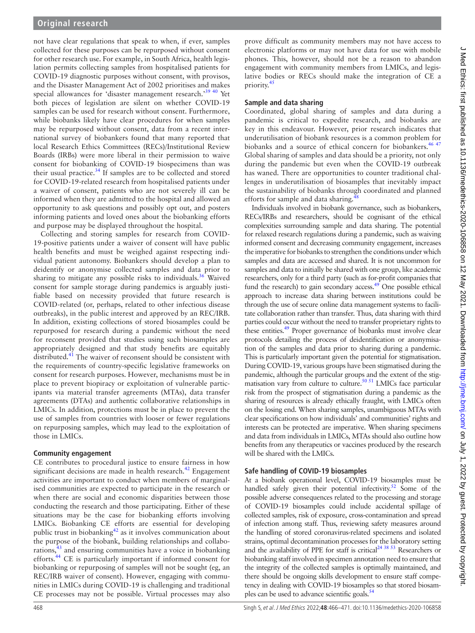not have clear regulations that speak to when, if ever, samples collected for these purposes can be repurposed without consent for other research use. For example, in South Africa, health legislation permits collecting samples from hospitalised patients for COVID-19 diagnostic purposes without consent, with provisos, and the Disaster Management Act of 2002 prioritises and makes special allowances for 'disaster management research.'[39 40](#page-4-25) Yet both pieces of legislation are silent on whether COVID-19 samples can be used for research without consent. Furthermore, while biobanks likely have clear procedures for when samples may be repurposed without consent, data from a recent international survey of biobankers found that many reported that local Research Ethics Committees (RECs)/Institutional Review Boards (IRBs) were more liberal in their permission to waive consent for biobanking of COVID-19 biospecimens than was their usual practice[.34](#page-4-20) If samples are to be collected and stored for COVID-19-related research from hospitalised patients under a waiver of consent, patients who are not severely ill can be informed when they are admitted to the hospital and allowed an opportunity to ask questions and possibly opt out, and posters informing patients and loved ones about the biobanking efforts and purpose may be displayed throughout the hospital.

Collecting and storing samples for research from COVID-19-positive patients under a waiver of consent will have public health benefits and must be weighed against respecting individual patient autonomy. Biobankers should develop a plan to deidentify or anonymise collected samples and data prior to sharing to mitigate any possible risks to individuals.<sup>[36](#page-4-22)</sup> Waived consent for sample storage during pandemics is arguably justifiable based on necessity provided that future research is COVID-related (or, perhaps, related to other infectious disease outbreaks), in the public interest and approved by an REC/IRB. In addition, existing collections of stored biosamples could be repurposed for research during a pandemic without the need for reconsent provided that studies using such biosamples are appropriately designed and that study benefits are equitably distributed.<sup>41</sup> The waiver of reconsent should be consistent with the requirements of country-specific legislative frameworks on consent for research purposes. However, mechanisms must be in place to prevent biopiracy or exploitation of vulnerable participants via material transfer agreements (MTAs), data transfer agreements (DTAs) and authentic collaborative relationships in LMICs. In addition, protections must be in place to prevent the use of samples from countries with looser or fewer regulations on repurposing samples, which may lead to the exploitation of those in LMICs.

# **Community engagement**

CE contributes to procedural justice to ensure fairness in how significant decisions are made in health research. $42$  Engagement activities are important to conduct when members of marginalised communities are expected to participate in the research or when there are social and economic disparities between those conducting the research and those participating. Either of these situations may be the case for biobanking efforts involving LMICs. Biobanking CE efforts are essential for developing public trust in biobanking $42$  as it involves communication about the purpose of the biobank, building relationships and collaborations, $43$  and ensuring communities have a voice in biobanking efforts.[44](#page-4-29) CE is particularly important if informed consent for biobanking or repurposing of samples will not be sought (eg, an REC/IRB waiver of consent). However, engaging with communities in LMICs during COVID-19 is challenging and traditional CE processes may not be possible. Virtual processes may also

prove difficult as community members may not have access to electronic platforms or may not have data for use with mobile phones. This, however, should not be a reason to abandon engagement with community members from LMICs, and legislative bodies or RECs should make the integration of CE a priority.<sup>[45](#page-4-30)</sup>

# **Sample and data sharing**

Coordinated, global sharing of samples and data during a pandemic is critical to expedite research, and biobanks are key in this endeavour. However, prior research indicates that underutilisation of biobank resources is a common problem for biobanks and a source of ethical concern for biobankers.<sup>46 47</sup> Global sharing of samples and data should be a priority, not only during the pandemic but even when the COVID-19 outbreak has waned. There are opportunities to counter traditional challenges in underutilisation of biosamples that inevitably impact the sustainability of biobanks through coordinated and planned efforts for sample and data sharing.<sup>4</sup>

Individuals involved in biobank governance, such as biobankers, RECs/IRBs and researchers, should be cognisant of the ethical complexities surrounding sample and data sharing. The potential for relaxed research regulations during a pandemic, such as waiving informed consent and decreasing community engagement, increases the imperative for biobanks to strengthen the conditions under which samples and data are accessed and shared. It is not uncommon for samples and data to initially be shared with one group, like academic researchers, only for a third party (such as for-profit companies that fund the research) to gain secondary access.<sup>49</sup> One possible ethical approach to increase data sharing between institutions could be through the use of secure online data management systems to facilitate collaboration rather than transfer. Thus, data sharing with third parties could occur without the need to transfer proprietary rights to these entities.<sup>49</sup> Proper governance of biobanks must involve clear protocols detailing the process of deidentification or anonymisation of the samples and data prior to sharing during a pandemic. This is particularly important given the potential for stigmatisation. During COVID-19, various groups have been stigmatised during the pandemic, although the particular groups and the extent of the stigmatisation vary from culture to culture.<sup>50 51</sup> LMICs face particular risk from the prospect of stigmatisation during a pandemic as the sharing of resources is already ethically fraught, with LMICs often on the losing end. When sharing samples, unambiguous MTAs with clear specifications on how individuals' and communities' rights and interests can be protected are imperative. When sharing specimens and data from individuals in LMICs, MTAs should also outline how benefits from any therapeutics or vaccines produced by the research will be shared with the LMICs.

# **Safe handling of COVID-19 biosamples**

At a biobank operational level, COVID-19 biosamples must be handled safely given their potential infectivity.<sup>52</sup> Some of the possible adverse consequences related to the processing and storage of COVID-19 biosamples could include accidental spillage of collected samples, risk of exposure, cross-contamination and spread of infection among staff. Thus, reviewing safety measures around the handling of stored coronavirus-related specimens and isolated strains, optimal decontamination processes for the laboratory setting and the availability of PPE for staff is critical<sup>24 38 53</sup> Researchers or biobanking staff involved in specimen annotation need to ensure that the integrity of the collected samples is optimally maintained, and there should be ongoing skills development to ensure staff competency in dealing with COVID-19 biosamples so that stored biosamples can be used to advance scientific goals.<sup>54</sup>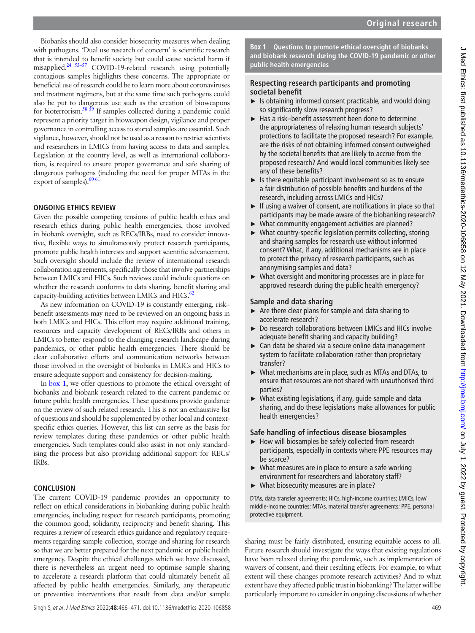Biobanks should also consider biosecurity measures when dealing with pathogens. 'Dual use research of concern' is scientific research that is intended to benefit society but could cause societal harm if misapplied[.24 55–57](#page-4-33) COVID-19-related research using potentially contagious samples highlights these concerns. The appropriate or beneficial use of research could be to learn more about coronaviruses and treatment regimens, but at the same time such pathogens could also be put to dangerous use such as the creation of bioweapons for bioterrorism.<sup>58 59</sup> If samples collected during a pandemic could represent a priority target in bioweapon design, vigilance and proper governance in controlling access to stored samples are essential. Such vigilance, however, should not be used as a reason to restrict scientists and researchers in LMICs from having access to data and samples. Legislation at the country level, as well as international collaboration, is required to ensure proper governance and safe sharing of dangerous pathogens (including the need for proper MTAs in the export of samples). $6061$ 

# **ONGOING ETHICS REVIEW**

Given the possible competing tensions of public health ethics and research ethics during public health emergencies, those involved in biobank oversight, such as RECs/IRBs, need to consider innovative, flexible ways to simultaneously protect research participants, promote public health interests and support scientific advancement. Such oversight should include the review of international research collaboration agreements, specifically those that involve partnerships between LMICs and HICs. Such reviews could include questions on whether the research conforms to data sharing, benefit sharing and capacity-building activities between LMICs and HICs.<sup>62</sup>

As new information on COVID-19 is constantly emerging, risk– benefit assessments may need to be reviewed on an ongoing basis in both LMICs and HICs. This effort may require additional training, resources and capacity development of RECs/IRBs and others in LMICs to better respond to the changing research landscape during pandemics, or other public health emergencies. There should be clear collaborative efforts and communication networks between those involved in the oversight of biobanks in LMICs and HICs to ensure adequate support and consistency for decision-making.

In [box](#page-3-0) 1, we offer questions to promote the ethical oversight of biobanks and biobank research related to the current pandemic or future public health emergencies. These questions provide guidance on the review of such related research. This is not an exhaustive list of questions and should be supplemented by other local and contextspecific ethics queries. However, this list can serve as the basis for review templates during these pandemics or other public health emergencies. Such templates could also assist in not only standardising the process but also providing additional support for RECs/ IRBs.

## **CONCLUSION**

The current COVID-19 pandemic provides an opportunity to reflect on ethical considerations in biobanking during public health emergencies, including respect for research participants, promoting the common good, solidarity, reciprocity and benefit sharing. This requires a review of research ethics guidance and regulatory requirements regarding sample collection, storage and sharing for research so that we are better prepared for the next pandemic or public health emergency. Despite the ethical challenges which we have discussed, there is nevertheless an urgent need to optimise sample sharing to accelerate a research platform that could ultimately benefit all affected by public health emergencies. Similarly, any therapeutic or preventive interventions that result from data and/or sample **Box 1 Questions to promote ethical oversight of biobanks and biobank research during the COVID-19 pandemic or other public health emergencies**

# <span id="page-3-0"></span>**Respecting research participants and promoting societal benefit**

- $\blacktriangleright$  Is obtaining informed consent practicable, and would doing so significantly slow research progress?
- Has a risk–benefit assessment been done to determine the appropriateness of relaxing human research subjects' protections to facilitate the proposed research? For example, are the risks of not obtaining informed consent outweighed by the societal benefits that are likely to accrue from the proposed research? And would local communities likely see any of these benefits?
- $\blacktriangleright$  Is there equitable participant involvement so as to ensure a fair distribution of possible benefits and burdens of the research, including across LMICs and HICs?
- ► If using a waiver of consent, are notifications in place so that participants may be made aware of the biobanking research?
- What community engagement activities are planned?
- ► What country-specific legislation permits collecting, storing and sharing samples for research use without informed consent? What, if any, additional mechanisms are in place to protect the privacy of research participants, such as anonymising samples and data?
- ► What oversight and monitoring processes are in place for approved research during the public health emergency?

# **Sample and data sharing**

- ► Are there clear plans for sample and data sharing to accelerate research?
- ► Do research collaborations between LMICs and HICs involve adequate benefit sharing and capacity building?
- ► Can data be shared via a secure online data management system to facilitate collaboration rather than proprietary transfer?
- ► What mechanisms are in place, such as MTAs and DTAs, to ensure that resources are not shared with unauthorised third parties?
- $\triangleright$  What existing legislations, if any, guide sample and data sharing, and do these legislations make allowances for public health emergencies?

# **Safe handling of infectious disease biosamples**

- ► How will biosamples be safely collected from research participants, especially in contexts where PPE resources may be scarce?
- $\triangleright$  What measures are in place to ensure a safe working environment for researchers and laboratory staff?
- ► What biosecurity measures are in place?

DTAs, data transfer agreements; HICs, high-income countries; LMICs, low/ middle-income countries; MTAs, material transfer agreements; PPE, personal protective equipment.

sharing must be fairly distributed, ensuring equitable access to all. Future research should investigate the ways that existing regulations have been relaxed during the pandemic, such as implementation of waivers of consent, and their resulting effects. For example, to what extent will these changes promote research activities? And to what extent have they affected public trust in biobanking? The latter will be particularly important to consider in ongoing discussions of whether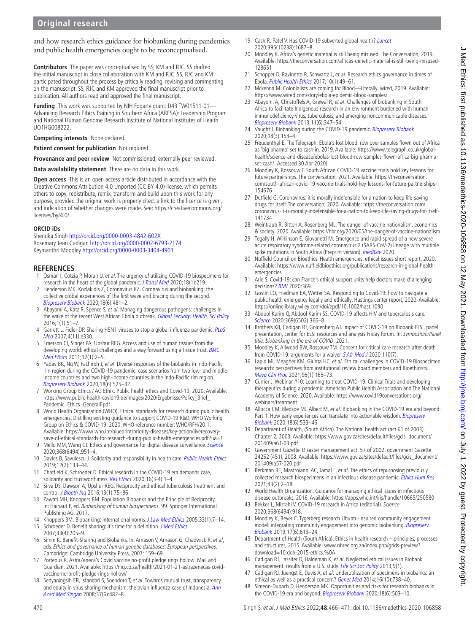and how research ethics guidance for biobanking during pandemics and public health emergencies ought to be reconceptualised.

**Contributors** The paper was conceptualised by SS, KM and RJC. SS drafted the initial manuscript in close collaboration with KM and RJC. SS, RJC and KM participated throughout the process by critically reading, revising and commenting on the manuscript. SS, RJC and KM approved the final manuscript prior to publication. All authors read and approved the final manuscript.

**Funding** This work was supported by NIH Fogarty grant: D43 TW01511-01— Advancing Research Ethics Training in Southern Africa (ARESA): Leadership Program and National Human Genome Research Institute of National Institutes of Health UO1HG008222.

**Competing interests** None declared.

**Patient consent for publication** Not required.

**Provenance and peer review** Not commissioned; externally peer reviewed.

**Data availability statement** There are no data in this work.

**Open access** This is an open access article distributed in accordance with the Creative Commons Attribution 4.0 Unported (CC BY 4.0) license, which permits others to copy, redistribute, remix, transform and build upon this work for any purpose, provided the original work is properly cited, a link to the licence is given, and indication of whether changes were made. See: [https://creativecommons.org/](https://creativecommons.org/licenses/by/4.0/) [licenses/by/4.0/.](https://creativecommons.org/licenses/by/4.0/)

#### **ORCID iDs**

Shenuka Singh <http://orcid.org/0000-0003-4842-602X> Rosemary Jean Cadigan<http://orcid.org/0000-0002-6793-2174> Keymanthri Moodley<http://orcid.org/0000-0003-3404-4901>

#### **REFERENCES**

- <span id="page-4-0"></span>1 Osman I, Cotzia P, Moran U, et al. The urgency of utilizing COVID-19 biospecimens for research in the heart of the global pandemic. [J Transl Med](http://dx.doi.org/10.1186/s12967-020-02388-8) 2020;18(1):219
- 2 Henderson MK, Kozlakidis Z, Coronavirus KZ. Coronavirus and biobanking: the collective global experiences of the first wave and bracing during the second. [Biopreserv Biobank](http://dx.doi.org/10.1089/bio.2020.29077.mjk) 2020;18(6):481–2.
- <span id="page-4-1"></span>3 Abayomi A, Katz R, Spence S, et al. Managing dangerous pathogens: challenges in the wake of the recent West African Ebola outbreak. [Global Security: Health, Sci Policy](http://dx.doi.org/10.1080/23779497.2016.1228431) 2016;1(1):51–7.
- <span id="page-4-11"></span>4 Garrett L, Fidler DP. Sharing H5N1 viruses to stop a global influenza pandemic. PLoS [Med](http://dx.doi.org/10.1371/journal.pmed.0040330) 2007;4(11):e330.
- 5 Emerson CI, Singer PA, Upshur REG. Access and use of human tissues from the developing world: ethical challenges and a way forward using a tissue trust. BMC [Med Ethics](http://dx.doi.org/10.1186/1472-6939-12-2)  $2011:12(1):2-5$ .
- <span id="page-4-2"></span>6 Yadav BK, Ng W, Fachiroh J, et al. Diverse responses of the biobanks in Indo-Pacific rim region during the COVID-19 pandemic: case scenarios from two low- and middleincome countries and two high-income countries in the Indo-Pacific rim region. [Biopreserv Biobank](http://dx.doi.org/10.1089/bio.2020.0078) 2020;18(6):525–32.
- <span id="page-4-3"></span>7 Working Group Ethics / AG Ethik. Public health ethics and Covid-19, 2020. Available: [https://www.public-health-covid19.de/images/2020/Ergebnisse/Policy\\_Brief\\_](https://www.public-health-covid19.de/images/2020/Ergebnisse/Policy_Brief_Pandemic_Ethics_GeneralF.pdf) [Pandemic\\_Ethics\\_GeneralF.pdf](https://www.public-health-covid19.de/images/2020/Ergebnisse/Policy_Brief_Pandemic_Ethics_GeneralF.pdf)
- <span id="page-4-4"></span>8 World Health Organization (WHO). Ethical standards for research during public health emergencies: Distilling existing guidance to support COVID-19 R&D. WHO Working Group on Ethics & COVID-19. 2020. WHO reference number: WHO/RFH/20.1. Available: [https://www.who.int/blueprint/priority-diseases/key-action/liverecovery](https://www.who.int/blueprint/priority-diseases/key-action/liverecovery-save-of-ethical-standards-for-research-during-public-health-emergencies.pdf?ua=1)[save-of-ethical-standards-for-research-during-public-health-emergencies.pdf?ua=1](https://www.who.int/blueprint/priority-diseases/key-action/liverecovery-save-of-ethical-standards-for-research-during-public-health-emergencies.pdf?ua=1)
- 9 Mello MM, Wang CJ. Ethics and governance for digital disease surveillance. [Science](http://dx.doi.org/10.1126/science.abb9045) 2020;368(6494):951–4.
- <span id="page-4-5"></span>10 Davies B, Savulescu J. Solidarity and responsibility in health care. [Public Health Ethics](http://dx.doi.org/10.1093/phe/phz008) 2019;12(2):133–44.
- 11 Chatfield K, Schroeder D. Ethical research in the COVID-19 era demands care, solidarity and trustworthiness. [Res Ethics](http://dx.doi.org/10.1177/1747016120945046) 2020;16(3-4):1-4.
- <span id="page-4-6"></span>12 Silva DS, Dawson A, Upshur REG. Reciprocity and ethical tuberculosis treatment and control. [J Bioeth Inq](http://dx.doi.org/10.1007/s11673-015-9691-z) 2016;13(1):75-86.
- 13 Zawati MH, Knoppers BM. Population Biobanks and the Principle of Reciprocity. In: Hainaut P, ed. Biobanking of human biospecimens. 99. Springer International Publishing AG, 2017.
- <span id="page-4-7"></span>14 Knoppers BM. Biobanking: international norms. [J Law Med Ethics](http://dx.doi.org/10.1111/j.1748-720X.2005.tb00205.x) 2005;33(1):7-14.
- <span id="page-4-8"></span>15 Schroeder D. Benefit sharing: it's time for a definition. *[J Med Ethics](http://dx.doi.org/10.1136/jme.2006.016790)* 2007;33(4):205–9.
- <span id="page-4-9"></span>16 Simm K. Benefit-Sharing and Biobanks. In: Arnason V, Arnason G, Chadwick R, et al, eds. Ethics and governance of human genetic databases: European perspectives. Cambridge: Cambridge University Press, 2007: 159–69.
- <span id="page-4-10"></span>17 Porteous R. AstraZeneca's Covid vaccine no-profit pledge rings hollow. Mail and Guardian, 2021. Available: [https://mg.co.za/health/2021-01-21-astrazenecas-covid](https://mg.co.za/health/2021-01-21-astrazenecas-covid-vaccine-no-profit-pledge-rings-hollow/)[vaccine-no-profit-pledge-rings-hollow/](https://mg.co.za/health/2021-01-21-astrazenecas-covid-vaccine-no-profit-pledge-rings-hollow/)
- <span id="page-4-12"></span>18 Sedyaningsih ER, Isfandari S, Soendoro T, et al. Towards mutual trust, transparency and equity in virus sharing mechanism: the avian influenza case of Indonesia. Ann [Acad Med Singap](http://www.ncbi.nlm.nih.gov/pubmed/18618060) 2008;37(6):482–8.
- 19 Cash R, Patel V. Has COVID-19 subverted global health? [Lancet](http://dx.doi.org/10.1016/S0140-6736(20)31089-8) 2020;395(10238):1687–8.
- <span id="page-4-13"></span>20 Moodley K. Africa's genetic material is still being misused. The Conversation, 2019. Available: [https://theconversation.com/africas-genetic-material-is-still-being-misused-](https://theconversation.com/africas-genetic-material-is-still-being-misused-128651)[128651](https://theconversation.com/africas-genetic-material-is-still-being-misused-128651)
- <span id="page-4-15"></span>21 Schopper D, Ravinetto R, Schwartz L, et al. Research ethics governance in times of Ebola. [Public Health Ethics](http://dx.doi.org/10.1093/phe/phw039) 2017;10(1):49–61.
- 22 Mckenna M. Colonialists are coming for Blood—Literally. wired, 2019. Available: <https://www.wired.com/story/ebola-epidemic-blood-samples/>
- <span id="page-4-14"></span>23 Abayomi A, Christoffels A, Grewal R, et al. Challenges of biobanking in South Africa to facilitate Indigenous research in an environment burdened with human immunodeficiency virus, tuberculosis, and emerging noncommunicable diseases. [Biopreserv Biobank](http://dx.doi.org/10.1089/bio.2013.0049) 2013;11(6):347–54.
- <span id="page-4-33"></span>24 Vaught J. Biobanking during the COVID-19 pandemic. [Biopreserv Biobank](http://dx.doi.org/10.1089/bio.2020.29069.jjv) 2020;18(3):153–4.
- <span id="page-4-16"></span>25 Freudenthal E. The Telegraph. Ebola's lost blood: row over samples flown out of Africa as 'big pharma' set to cash in, 2019. Available: [https://www.telegraph.co.uk/global](https://www.telegraph.co.uk/global-health/science-and-disease/ebolas-lost-blood-row-samples-flown-africa-big-pharma-set-cash/)[health/science-and-disease/ebolas-lost-blood-row-samples-flown-africa-big-pharma](https://www.telegraph.co.uk/global-health/science-and-disease/ebolas-lost-blood-row-samples-flown-africa-big-pharma-set-cash/)[set-cash/](https://www.telegraph.co.uk/global-health/science-and-disease/ebolas-lost-blood-row-samples-flown-africa-big-pharma-set-cash/) [Accessed 30 Apr 2020].
- 26 Moodley K, Rossouw T. South African COVID-19 vaccine trials hold key lessons for future partnerships. The conversation, 2021. Available: [https://theconversation.](https://theconversation.com/south-african-covid-19-vaccine-trials-hold-key-lessons-for-future-partnerships-154676) [com/south-african-covid-19-vaccine-trials-hold-key-lessons-for-future-partnerships-](https://theconversation.com/south-african-covid-19-vaccine-trials-hold-key-lessons-for-future-partnerships-154676)[154676](https://theconversation.com/south-african-covid-19-vaccine-trials-hold-key-lessons-for-future-partnerships-154676)
- <span id="page-4-17"></span>27 Dutfield G. Coronavirus: it is morally indefensible for a nation to keep life-saving drugs for itself. The conversation, 2020. Available: [https://theconversation.com/](https://theconversation.com/coronavirus-it-is-morally-indefensible-for-a-nation-to-keep-life-saving-drugs-for-itself-141734) [coronavirus-it-is-morally-indefensible-for-a-nation-to-keep-life-saving-drugs-for-itself-](https://theconversation.com/coronavirus-it-is-morally-indefensible-for-a-nation-to-keep-life-saving-drugs-for-itself-141734)[141734](https://theconversation.com/coronavirus-it-is-morally-indefensible-for-a-nation-to-keep-life-saving-drugs-for-itself-141734)
- 28 Weintraub R, Bitton A, Rosenberg ML. The danger of vaccine nationalism. economics & society, 2020. Available: <https://hbr.org/2020/05/the-danger-of-vaccine-nationalism>
- <span id="page-4-18"></span>29 Tegally H, Wilkinson E, Giovanetti M. Emergence and rapid spread of a new severe acute respiratory syndrome-related coronavirus 2 (SARS-CoV-2) lineage with multiple spike mutations in South Africa (Preprint version). [medRxiv](http://dx.doi.org/10.1101/2020.12.21.20248640) 2020.
- <span id="page-4-19"></span>30 Nuffield Council on Bioethics. Health emergencies: ethical issues short report, 2020. Available: [https://www.nuffieldbioethics.org/publications/research-in-global-health](https://www.nuffieldbioethics.org/publications/research-in-global-health-emergencies)[emergencies](https://www.nuffieldbioethics.org/publications/research-in-global-health-emergencies)
- 31 Arie S. Covid-19: can France's ethical support units help doctors make challenging decisions? [BMJ](http://dx.doi.org/10.1136/bmj.m1291) 2020;369.
- 32 Gostin LO, Friedman EA, Wetter SA. Responding to Covid-19: how to navigate a public health emergency legally and ethically. Hastings center report, 2020. Available: <https://onlinelibrary.wiley.com/doi/epdf/10.1002/hast.1090>
- 33 Abdool Karim Q, Abdool Karim SS. COVID-19 affects HIV and tuberculosis care. [Science](http://dx.doi.org/10.1126/science.abd1072) 2020;369(6502):366-8.
- <span id="page-4-20"></span>34 Brothers KB, Cadigan RJ, Goldenberg AJ. Impact of COVID-19 on Biobank ELSI. panel presentation, center for ELSI resources and analysis Friday forum. In: Symposium/Panel title: biobanking in the era of COVID, 2021.
- <span id="page-4-21"></span>35 Moodley K, Allwood BW, Rossouw TM. Consent for critical care research after death from COVID-19: arguments for a waiver. *[S Afr Med J](http://www.ncbi.nlm.nih.gov/pubmed/32880337)* 2020;110(7).
- <span id="page-4-22"></span>36 Lapid MI, Meagher KM, Giunta HC, et al. Ethical challenges in COVID-19 Biospecimen research: perspectives from institutional review board members and Bioethicists. [Mayo Clin Proc](http://dx.doi.org/10.1016/j.mayocp.2020.10.021) 2021;96(1):165-73.
- <span id="page-4-23"></span>37 Currier J. Webinar #10: Learning to treat COVID-19: Clinical Trials and developing therapeutics during a pandemic. American Public Health Association and The National Academy of Science, 2020. Available: [https://www.covid19conversations.org/](https://www.covid19conversations.org/webinars/treatment) [webinars/treatment](https://www.covid19conversations.org/webinars/treatment)
- <span id="page-4-24"></span>38 Allocca CM, Bledsoe MJ, Albert M, et al. Biobanking in the COVID-19 era and beyond: Part 1. How early experiences can translate into actionable wisdom. Biopreserv [Biobank](http://dx.doi.org/10.1089/bio.2020.0082) 2020;18(6):533–46.
- <span id="page-4-25"></span>39 Department of Health, (South Africa). The National health act (act 61 of 2003). Chapter 2, 2003. Available: [https://www.gov.za/sites/default/files/gcis\\_document/](https://www.gov.za/sites/default/files/gcis_document/201409/a61-03.pdf) [201409/a61-03.pdf](https://www.gov.za/sites/default/files/gcis_document/201409/a61-03.pdf)
- 40 Government Gazette. Disaster management act. 57 of 2002. government Gazette 24252 (451), 2003. Available: [https://www.gov.za/sites/default/files/gcis\\_document/](https://www.gov.za/sites/default/files/gcis_document/201409/a57-020.pdf) [201409/a57-020.pdf](https://www.gov.za/sites/default/files/gcis_document/201409/a57-020.pdf)
- <span id="page-4-26"></span>41 Berkman BE, Mastroianni AC, Jamal L, et al. The ethics of repurposing previously collected research biospecimens in an infectious disease pandemic. [Ethics Hum Res](http://dx.doi.org/10.1002/eahr.500083) 2021;43(2):2–18.
- <span id="page-4-27"></span>42 World Health Organization. Guidance for managing ethical issues in infectious disease outbreaks, 2016. Available: <https://apps.who.int/iris/handle/10665/250580>
- <span id="page-4-28"></span>43 Bekker L, Mizrahi V. COVID-19 research in Africa (editorial). Science 2020;368(6494):918.
- <span id="page-4-29"></span>44 Moodley K, Beyer C. Tygerberg research Ubuntu-Inspired community engagement model: integrating community engagement into genomic biobanking. Biopreserv [Biobank](http://dx.doi.org/10.1089/bio.2018.0136) 2019;17(6):613–24.
- <span id="page-4-30"></span>45 Department of Health (South Africa). Ethics in health research – principles, processes and structures, 2015. Available: [www.nhrec.org.za/index.php/grids-preview?](www.nhrec.org.za/index.php/grids-preview?download=10:doh-2015-ethics.%0A) [download=10:doh-2015-ethics.%0A](www.nhrec.org.za/index.php/grids-preview?download=10:doh-2015-ethics.%0A)
- <span id="page-4-31"></span>46 Cadigan RJ, Lassiter D, Haldeman K, et al. Neglected ethical issues in Biobank management: results from a U.S. study. [Life Sci Soc Policy](http://dx.doi.org/10.1186/2195-7819-9-1) 2013;9(1).
- 47 Cadigan RJ, Juengst E, Davis A, et al. Underutilization of specimens in biobanks: an ethical as well as a practical concern? [Genet Med](http://dx.doi.org/10.1038/gim.2014.38) 2014;16(10):738–40.
- <span id="page-4-32"></span>48 Simeon-Dubach D, Henderson MK. Opportunities and risks for research biobanks in the COVID-19 era and beyond. [Biopreserv Biobank](http://dx.doi.org/10.1089/bio.2020.0079) 2020;18(6):503-10.